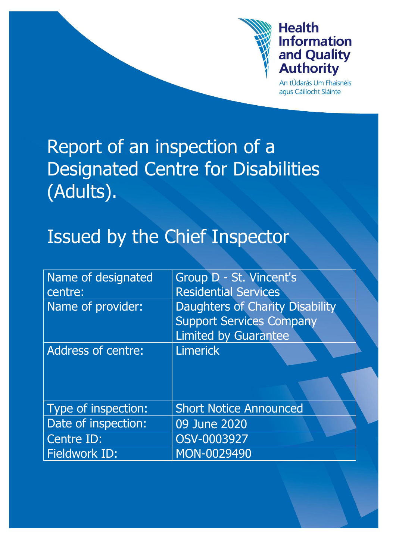

## **Health Information** and Quality **Authority**

An tÚdarás Um Fhaisnéis agus Cáilíocht Sláinte

# Report of an inspection of a Designated Centre for Disabilities (Adults).

# Issued by the Chief Inspector

| Name of designated        | Group D - St. Vincent's                |
|---------------------------|----------------------------------------|
| centre:                   | <b>Residential Services</b>            |
| Name of provider:         | <b>Daughters of Charity Disability</b> |
|                           | <b>Support Services Company</b>        |
|                           | <b>Limited by Guarantee</b>            |
| <b>Address of centre:</b> | <b>Limerick</b>                        |
|                           |                                        |
|                           |                                        |
| Type of inspection:       | <b>Short Notice Announced</b>          |
| Date of inspection:       | 09 June 2020                           |
| Centre ID:                | OSV-0003927                            |
| <b>Fieldwork ID:</b>      | MON-0029490                            |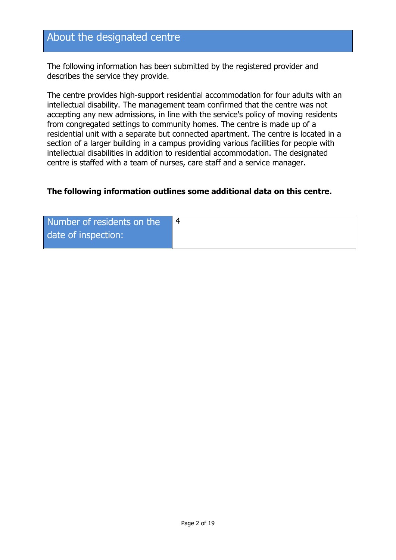## About the designated centre

The following information has been submitted by the registered provider and describes the service they provide.

The centre provides high-support residential accommodation for four adults with an intellectual disability. The management team confirmed that the centre was not accepting any new admissions, in line with the service's policy of moving residents from congregated settings to community homes. The centre is made up of a residential unit with a separate but connected apartment. The centre is located in a section of a larger building in a campus providing various facilities for people with intellectual disabilities in addition to residential accommodation. The designated centre is staffed with a team of nurses, care staff and a service manager.

#### **The following information outlines some additional data on this centre.**

| Number of residents on the |  |
|----------------------------|--|
| date of inspection:        |  |
|                            |  |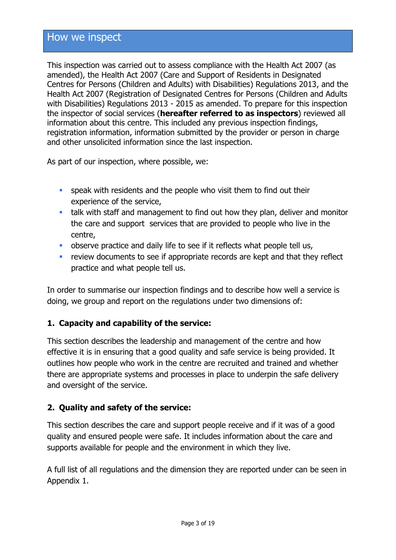This inspection was carried out to assess compliance with the Health Act 2007 (as amended), the Health Act 2007 (Care and Support of Residents in Designated Centres for Persons (Children and Adults) with Disabilities) Regulations 2013, and the Health Act 2007 (Registration of Designated Centres for Persons (Children and Adults with Disabilities) Regulations 2013 - 2015 as amended. To prepare for this inspection the inspector of social services (**hereafter referred to as inspectors**) reviewed all information about this centre. This included any previous inspection findings, registration information, information submitted by the provider or person in charge and other unsolicited information since the last inspection.

As part of our inspection, where possible, we:

- speak with residents and the people who visit them to find out their experience of the service,
- talk with staff and management to find out how they plan, deliver and monitor the care and support services that are provided to people who live in the centre,
- observe practice and daily life to see if it reflects what people tell us,
- **F** review documents to see if appropriate records are kept and that they reflect practice and what people tell us.

In order to summarise our inspection findings and to describe how well a service is doing, we group and report on the regulations under two dimensions of:

#### **1. Capacity and capability of the service:**

This section describes the leadership and management of the centre and how effective it is in ensuring that a good quality and safe service is being provided. It outlines how people who work in the centre are recruited and trained and whether there are appropriate systems and processes in place to underpin the safe delivery and oversight of the service.

#### **2. Quality and safety of the service:**

This section describes the care and support people receive and if it was of a good quality and ensured people were safe. It includes information about the care and supports available for people and the environment in which they live.

A full list of all regulations and the dimension they are reported under can be seen in Appendix 1.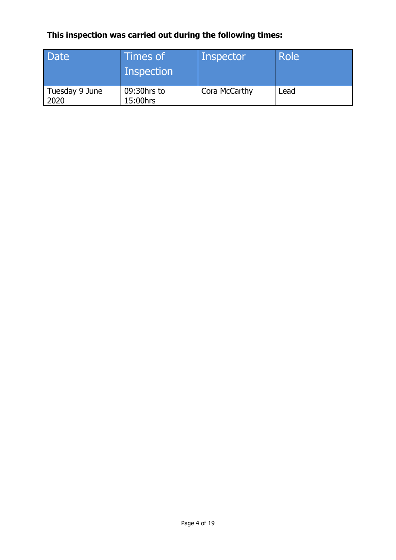## **This inspection was carried out during the following times:**

| Date                   | Times of<br>Inspection  | Inspector     | <b>Role</b> |
|------------------------|-------------------------|---------------|-------------|
| Tuesday 9 June<br>2020 | 09:30hrs to<br>15:00hrs | Cora McCarthy | Lead        |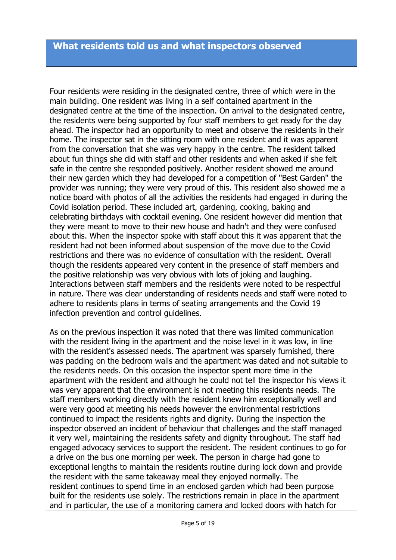#### **What residents told us and what inspectors observed**

Four residents were residing in the designated centre, three of which were in the main building. One resident was living in a self contained apartment in the designated centre at the time of the inspection. On arrival to the designated centre, the residents were being supported by four staff members to get ready for the day ahead. The inspector had an opportunity to meet and observe the residents in their home. The inspector sat in the sitting room with one resident and it was apparent from the conversation that she was very happy in the centre. The resident talked about fun things she did with staff and other residents and when asked if she felt safe in the centre she responded positively. Another resident showed me around their new garden which they had developed for a competition of ''Best Garden'' the provider was running; they were very proud of this. This resident also showed me a notice board with photos of all the activities the residents had engaged in during the Covid isolation period. These included art, gardening, cooking, baking and celebrating birthdays with cocktail evening. One resident however did mention that they were meant to move to their new house and hadn't and they were confused about this. When the inspector spoke with staff about this it was apparent that the resident had not been informed about suspension of the move due to the Covid restrictions and there was no evidence of consultation with the resident. Overall though the residents appeared very content in the presence of staff members and the positive relationship was very obvious with lots of joking and laughing. Interactions between staff members and the residents were noted to be respectful in nature. There was clear understanding of residents needs and staff were noted to adhere to residents plans in terms of seating arrangements and the Covid 19 infection prevention and control guidelines.

As on the previous inspection it was noted that there was limited communication with the resident living in the apartment and the noise level in it was low, in line with the resident's assessed needs. The apartment was sparsely furnished, there was padding on the bedroom walls and the apartment was dated and not suitable to the residents needs. On this occasion the inspector spent more time in the apartment with the resident and although he could not tell the inspector his views it was very apparent that the environment is not meeting this residents needs. The staff members working directly with the resident knew him exceptionally well and were very good at meeting his needs however the environmental restrictions continued to impact the residents rights and dignity. During the inspection the inspector observed an incident of behaviour that challenges and the staff managed it very well, maintaining the residents safety and dignity throughout. The staff had engaged advocacy services to support the resident. The resident continues to go for a drive on the bus one morning per week. The person in charge had gone to exceptional lengths to maintain the residents routine during lock down and provide the resident with the same takeaway meal they enjoyed normally. The resident continues to spend time in an enclosed garden which had been purpose built for the residents use solely. The restrictions remain in place in the apartment and in particular, the use of a monitoring camera and locked doors with hatch for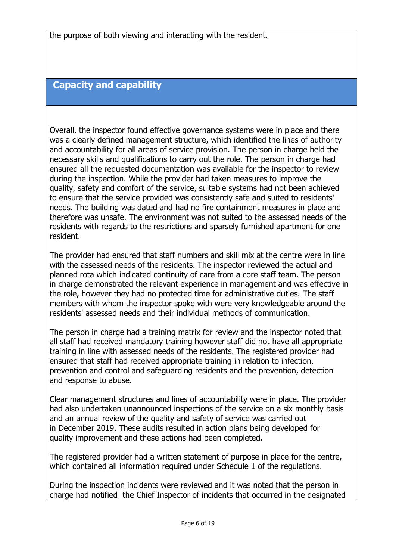the purpose of both viewing and interacting with the resident.

## **Capacity and capability**

Overall, the inspector found effective governance systems were in place and there was a clearly defined management structure, which identified the lines of authority and accountability for all areas of service provision. The person in charge held the necessary skills and qualifications to carry out the role. The person in charge had ensured all the requested documentation was available for the inspector to review during the inspection. While the provider had taken measures to improve the quality, safety and comfort of the service, suitable systems had not been achieved to ensure that the service provided was consistently safe and suited to residents' needs. The building was dated and had no fire containment measures in place and therefore was unsafe. The environment was not suited to the assessed needs of the residents with regards to the restrictions and sparsely furnished apartment for one resident.

The provider had ensured that staff numbers and skill mix at the centre were in line with the assessed needs of the residents. The inspector reviewed the actual and planned rota which indicated continuity of care from a core staff team. The person in charge demonstrated the relevant experience in management and was effective in the role, however they had no protected time for administrative duties. The staff members with whom the inspector spoke with were very knowledgeable around the residents' assessed needs and their individual methods of communication.

The person in charge had a training matrix for review and the inspector noted that all staff had received mandatory training however staff did not have all appropriate training in line with assessed needs of the residents. The registered provider had ensured that staff had received appropriate training in relation to infection, prevention and control and safeguarding residents and the prevention, detection and response to abuse.

Clear management structures and lines of accountability were in place. The provider had also undertaken unannounced inspections of the service on a six monthly basis and an annual review of the quality and safety of service was carried out in December 2019. These audits resulted in action plans being developed for quality improvement and these actions had been completed.

The registered provider had a written statement of purpose in place for the centre, which contained all information required under Schedule 1 of the regulations.

During the inspection incidents were reviewed and it was noted that the person in charge had notified the Chief Inspector of incidents that occurred in the designated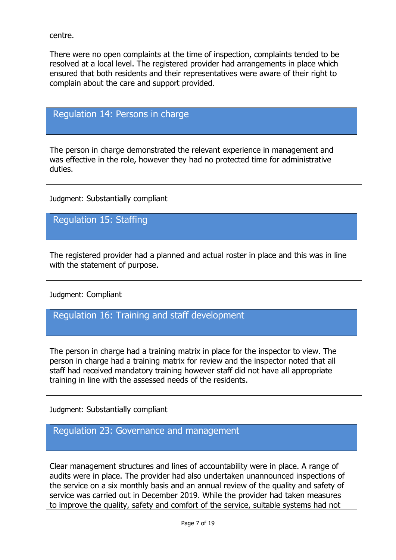centre.

There were no open complaints at the time of inspection, complaints tended to be resolved at a local level. The registered provider had arrangements in place which ensured that both residents and their representatives were aware of their right to complain about the care and support provided.

#### Regulation 14: Persons in charge

The person in charge demonstrated the relevant experience in management and was effective in the role, however they had no protected time for administrative duties.

Judgment: Substantially compliant

Regulation 15: Staffing

The registered provider had a planned and actual roster in place and this was in line with the statement of purpose.

Judgment: Compliant

Regulation 16: Training and staff development

The person in charge had a training matrix in place for the inspector to view. The person in charge had a training matrix for review and the inspector noted that all staff had received mandatory training however staff did not have all appropriate training in line with the assessed needs of the residents.

Judgment: Substantially compliant

Regulation 23: Governance and management

Clear management structures and lines of accountability were in place. A range of audits were in place. The provider had also undertaken unannounced inspections of the service on a six monthly basis and an annual review of the quality and safety of service was carried out in December 2019. While the provider had taken measures to improve the quality, safety and comfort of the service, suitable systems had not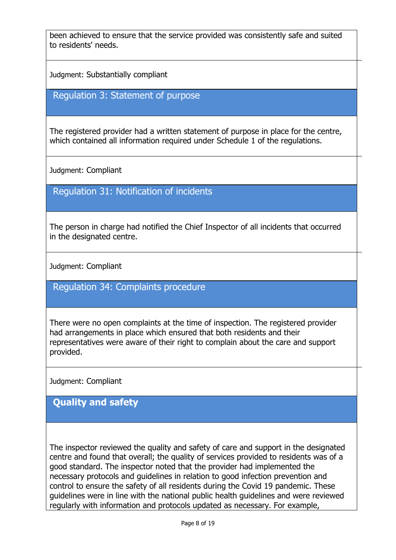been achieved to ensure that the service provided was consistently safe and suited to residents' needs.

Judgment: Substantially compliant

Regulation 3: Statement of purpose

The registered provider had a written statement of purpose in place for the centre, which contained all information required under Schedule 1 of the regulations.

Judgment: Compliant

Regulation 31: Notification of incidents

The person in charge had notified the Chief Inspector of all incidents that occurred in the designated centre.

Judgment: Compliant

Regulation 34: Complaints procedure

There were no open complaints at the time of inspection. The registered provider had arrangements in place which ensured that both residents and their representatives were aware of their right to complain about the care and support provided.

Judgment: Compliant

## **Quality and safety**

The inspector reviewed the quality and safety of care and support in the designated centre and found that overall; the quality of services provided to residents was of a good standard. The inspector noted that the provider had implemented the necessary protocols and guidelines in relation to good infection prevention and control to ensure the safety of all residents during the Covid 19 pandemic. These guidelines were in line with the national public health guidelines and were reviewed regularly with information and protocols updated as necessary. For example,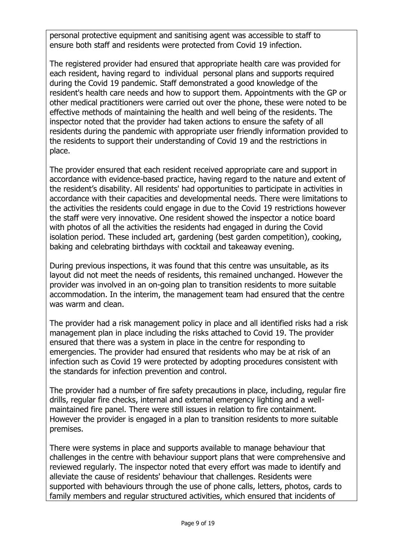personal protective equipment and sanitising agent was accessible to staff to ensure both staff and residents were protected from Covid 19 infection.

The registered provider had ensured that appropriate health care was provided for each resident, having regard to individual personal plans and supports required during the Covid 19 pandemic. Staff demonstrated a good knowledge of the resident's health care needs and how to support them. Appointments with the GP or other medical practitioners were carried out over the phone, these were noted to be effective methods of maintaining the health and well being of the residents. The inspector noted that the provider had taken actions to ensure the safety of all residents during the pandemic with appropriate user friendly information provided to the residents to support their understanding of Covid 19 and the restrictions in place.

The provider ensured that each resident received appropriate care and support in accordance with evidence-based practice, having regard to the nature and extent of the resident's disability. All residents' had opportunities to participate in activities in accordance with their capacities and developmental needs. There were limitations to the activities the residents could engage in due to the Covid 19 restrictions however the staff were very innovative. One resident showed the inspector a notice board with photos of all the activities the residents had engaged in during the Covid isolation period. These included art, gardening (best garden competition), cooking, baking and celebrating birthdays with cocktail and takeaway evening.

During previous inspections, it was found that this centre was unsuitable, as its layout did not meet the needs of residents, this remained unchanged. However the provider was involved in an on-going plan to transition residents to more suitable accommodation. In the interim, the management team had ensured that the centre was warm and clean.

The provider had a risk management policy in place and all identified risks had a risk management plan in place including the risks attached to Covid 19. The provider ensured that there was a system in place in the centre for responding to emergencies. The provider had ensured that residents who may be at risk of an infection such as Covid 19 were protected by adopting procedures consistent with the standards for infection prevention and control.

The provider had a number of fire safety precautions in place, including, regular fire drills, regular fire checks, internal and external emergency lighting and a wellmaintained fire panel. There were still issues in relation to fire containment. However the provider is engaged in a plan to transition residents to more suitable premises.

There were systems in place and supports available to manage behaviour that challenges in the centre with behaviour support plans that were comprehensive and reviewed regularly. The inspector noted that every effort was made to identify and alleviate the cause of residents' behaviour that challenges. Residents were supported with behaviours through the use of phone calls, letters, photos, cards to family members and regular structured activities, which ensured that incidents of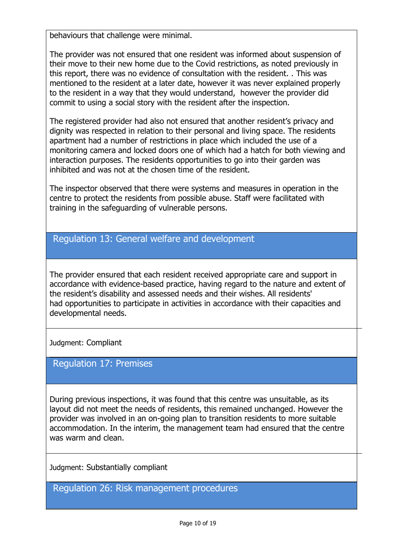behaviours that challenge were minimal.

The provider was not ensured that one resident was informed about suspension of their move to their new home due to the Covid restrictions, as noted previously in this report, there was no evidence of consultation with the resident. . This was mentioned to the resident at a later date, however it was never explained properly to the resident in a way that they would understand, however the provider did commit to using a social story with the resident after the inspection.

The registered provider had also not ensured that another resident's privacy and dignity was respected in relation to their personal and living space. The residents apartment had a number of restrictions in place which included the use of a monitoring camera and locked doors one of which had a hatch for both viewing and interaction purposes. The residents opportunities to go into their garden was inhibited and was not at the chosen time of the resident.

The inspector observed that there were systems and measures in operation in the centre to protect the residents from possible abuse. Staff were facilitated with training in the safeguarding of vulnerable persons.

## Regulation 13: General welfare and development

The provider ensured that each resident received appropriate care and support in accordance with evidence-based practice, having regard to the nature and extent of the resident's disability and assessed needs and their wishes. All residents' had opportunities to participate in activities in accordance with their capacities and developmental needs.

Judgment: Compliant

Regulation 17: Premises

During previous inspections, it was found that this centre was unsuitable, as its layout did not meet the needs of residents, this remained unchanged. However the provider was involved in an on-going plan to transition residents to more suitable accommodation. In the interim, the management team had ensured that the centre was warm and clean.

Judgment: Substantially compliant

Regulation 26: Risk management procedures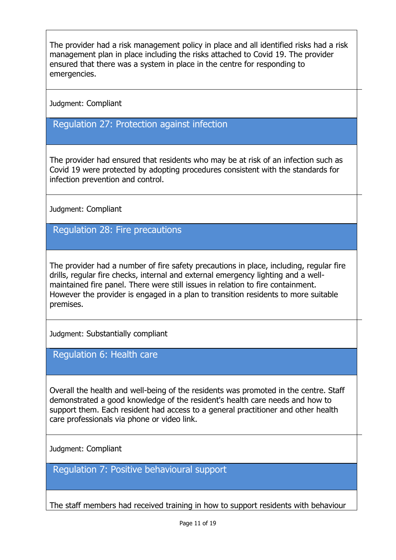The provider had a risk management policy in place and all identified risks had a risk management plan in place including the risks attached to Covid 19. The provider ensured that there was a system in place in the centre for responding to emergencies.

Judgment: Compliant

Regulation 27: Protection against infection

The provider had ensured that residents who may be at risk of an infection such as Covid 19 were protected by adopting procedures consistent with the standards for infection prevention and control.

Judgment: Compliant

Regulation 28: Fire precautions

The provider had a number of fire safety precautions in place, including, regular fire drills, regular fire checks, internal and external emergency lighting and a wellmaintained fire panel. There were still issues in relation to fire containment. However the provider is engaged in a plan to transition residents to more suitable premises.

Judgment: Substantially compliant

Regulation 6: Health care

Overall the health and well-being of the residents was promoted in the centre. Staff demonstrated a good knowledge of the resident's health care needs and how to support them. Each resident had access to a general practitioner and other health care professionals via phone or video link.

Judgment: Compliant

Regulation 7: Positive behavioural support

The staff members had received training in how to support residents with behaviour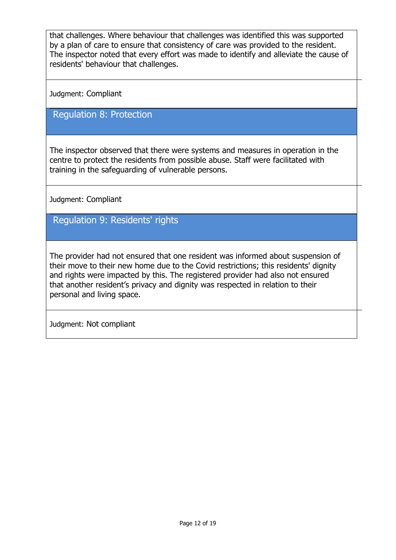that challenges. Where behaviour that challenges was identified this was supported by a plan of care to ensure that consistency of care was provided to the resident. The inspector noted that every effort was made to identify and alleviate the cause of residents' behaviour that challenges.

Judgment: Compliant

#### Regulation 8: Protection

The inspector observed that there were systems and measures in operation in the centre to protect the residents from possible abuse. Staff were facilitated with training in the safeguarding of vulnerable persons.

Judgment: Compliant

Regulation 9: Residents' rights

The provider had not ensured that one resident was informed about suspension of their move to their new home due to the Covid restrictions; this residents' dignity and rights were impacted by this. The registered provider had also not ensured that another resident's privacy and dignity was respected in relation to their personal and living space.

Judgment: Not compliant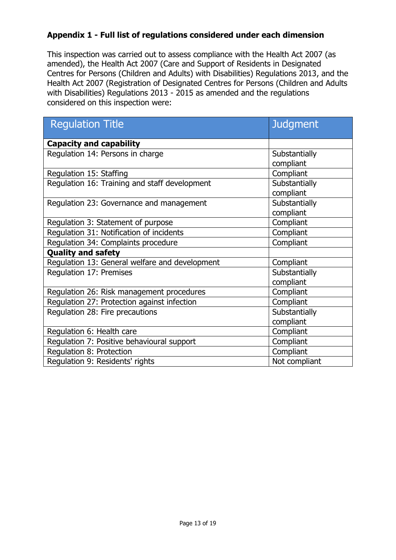#### **Appendix 1 - Full list of regulations considered under each dimension**

This inspection was carried out to assess compliance with the Health Act 2007 (as amended), the Health Act 2007 (Care and Support of Residents in Designated Centres for Persons (Children and Adults) with Disabilities) Regulations 2013, and the Health Act 2007 (Registration of Designated Centres for Persons (Children and Adults with Disabilities) Regulations 2013 - 2015 as amended and the regulations considered on this inspection were:

| <b>Regulation Title</b>                        | <b>Judgment</b>            |
|------------------------------------------------|----------------------------|
| <b>Capacity and capability</b>                 |                            |
| Regulation 14: Persons in charge               | Substantially<br>compliant |
| Regulation 15: Staffing                        | Compliant                  |
| Regulation 16: Training and staff development  | Substantially<br>compliant |
| Regulation 23: Governance and management       | Substantially<br>compliant |
| Regulation 3: Statement of purpose             | Compliant                  |
| Regulation 31: Notification of incidents       | Compliant                  |
| Regulation 34: Complaints procedure            | Compliant                  |
| <b>Quality and safety</b>                      |                            |
| Regulation 13: General welfare and development | Compliant                  |
| Regulation 17: Premises                        | Substantially<br>compliant |
| Regulation 26: Risk management procedures      | Compliant                  |
| Regulation 27: Protection against infection    | Compliant                  |
| Regulation 28: Fire precautions                | Substantially<br>compliant |
| Regulation 6: Health care                      | Compliant                  |
| Regulation 7: Positive behavioural support     | Compliant                  |
| Regulation 8: Protection                       | Compliant                  |
| Regulation 9: Residents' rights                | Not compliant              |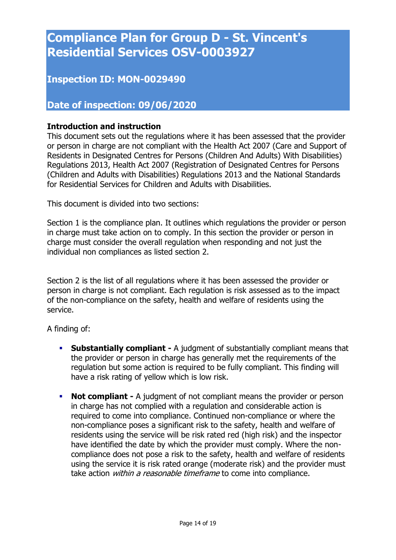## **Compliance Plan for Group D - St. Vincent's Residential Services OSV-0003927**

#### **Inspection ID: MON-0029490**

#### **Date of inspection: 09/06/2020**

#### **Introduction and instruction**

This document sets out the regulations where it has been assessed that the provider or person in charge are not compliant with the Health Act 2007 (Care and Support of Residents in Designated Centres for Persons (Children And Adults) With Disabilities) Regulations 2013, Health Act 2007 (Registration of Designated Centres for Persons (Children and Adults with Disabilities) Regulations 2013 and the National Standards for Residential Services for Children and Adults with Disabilities.

This document is divided into two sections:

Section 1 is the compliance plan. It outlines which regulations the provider or person in charge must take action on to comply. In this section the provider or person in charge must consider the overall regulation when responding and not just the individual non compliances as listed section 2.

Section 2 is the list of all regulations where it has been assessed the provider or person in charge is not compliant. Each regulation is risk assessed as to the impact of the non-compliance on the safety, health and welfare of residents using the service.

A finding of:

- **Substantially compliant -** A judgment of substantially compliant means that the provider or person in charge has generally met the requirements of the regulation but some action is required to be fully compliant. This finding will have a risk rating of yellow which is low risk.
- **Not compliant -** A judgment of not compliant means the provider or person in charge has not complied with a regulation and considerable action is required to come into compliance. Continued non-compliance or where the non-compliance poses a significant risk to the safety, health and welfare of residents using the service will be risk rated red (high risk) and the inspector have identified the date by which the provider must comply. Where the noncompliance does not pose a risk to the safety, health and welfare of residents using the service it is risk rated orange (moderate risk) and the provider must take action *within a reasonable timeframe* to come into compliance.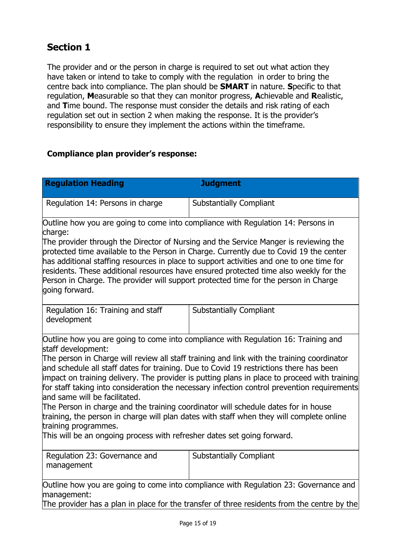## **Section 1**

The provider and or the person in charge is required to set out what action they have taken or intend to take to comply with the regulation in order to bring the centre back into compliance. The plan should be **SMART** in nature. **S**pecific to that regulation, **M**easurable so that they can monitor progress, **A**chievable and **R**ealistic, and **T**ime bound. The response must consider the details and risk rating of each regulation set out in section 2 when making the response. It is the provider's responsibility to ensure they implement the actions within the timeframe.

#### **Compliance plan provider's response:**

| <b>Regulation Heading</b>                                                                                                                                                                                                                                                                                                                                                                                                                                                    | <b>Judgment</b>                                                                      |  |  |
|------------------------------------------------------------------------------------------------------------------------------------------------------------------------------------------------------------------------------------------------------------------------------------------------------------------------------------------------------------------------------------------------------------------------------------------------------------------------------|--------------------------------------------------------------------------------------|--|--|
| Regulation 14: Persons in charge                                                                                                                                                                                                                                                                                                                                                                                                                                             | <b>Substantially Compliant</b>                                                       |  |  |
| charge:                                                                                                                                                                                                                                                                                                                                                                                                                                                                      | Outline how you are going to come into compliance with Regulation 14: Persons in     |  |  |
| The provider through the Director of Nursing and the Service Manger is reviewing the<br>protected time available to the Person in Charge. Currently due to Covid 19 the center<br>has additional staffing resources in place to support activities and one to one time for<br>residents. These additional resources have ensured protected time also weekly for the<br>Person in Charge. The provider will support protected time for the person in Charge<br>going forward. |                                                                                      |  |  |
| Regulation 16: Training and staff<br>development                                                                                                                                                                                                                                                                                                                                                                                                                             | <b>Substantially Compliant</b>                                                       |  |  |
| Outline how you are going to come into compliance with Regulation 16: Training and<br>staff development:                                                                                                                                                                                                                                                                                                                                                                     |                                                                                      |  |  |
| The person in Charge will review all staff training and link with the training coordinator<br>and schedule all staff dates for training. Due to Covid 19 restrictions there has been<br>impact on training delivery. The provider is putting plans in place to proceed with training<br>for staff taking into consideration the necessary infection control prevention requirements<br>and same will be facilitated.                                                         |                                                                                      |  |  |
| The Person in charge and the training coordinator will schedule dates for in house<br>training, the person in charge will plan dates with staff when they will complete online<br>training programmes.<br>This will be an ongoing process with refresher dates set going forward.                                                                                                                                                                                            |                                                                                      |  |  |
|                                                                                                                                                                                                                                                                                                                                                                                                                                                                              |                                                                                      |  |  |
| Regulation 23: Governance and<br>management                                                                                                                                                                                                                                                                                                                                                                                                                                  | <b>Substantially Compliant</b>                                                       |  |  |
| management:                                                                                                                                                                                                                                                                                                                                                                                                                                                                  | Outline how you are going to come into compliance with Regulation 23: Governance and |  |  |

The provider has a plan in place for the transfer of three residents from the centre by the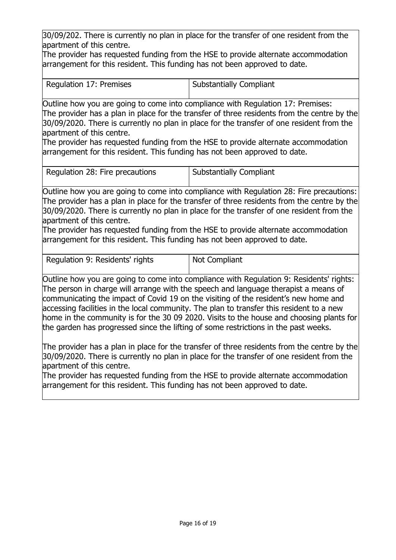30/09/202. There is currently no plan in place for the transfer of one resident from the apartment of this centre.

The provider has requested funding from the HSE to provide alternate accommodation arrangement for this resident. This funding has not been approved to date.

| Regulation 17: Premises | Substantially Compliant |
|-------------------------|-------------------------|

Outline how you are going to come into compliance with Regulation 17: Premises: The provider has a plan in place for the transfer of three residents from the centre by the 30/09/2020. There is currently no plan in place for the transfer of one resident from the apartment of this centre.

The provider has requested funding from the HSE to provide alternate accommodation arrangement for this resident. This funding has not been approved to date.

| Regulation 28: Fire precautions | <b>Substantially Compliant</b> |
|---------------------------------|--------------------------------|
|                                 |                                |

Outline how you are going to come into compliance with Regulation 28: Fire precautions: The provider has a plan in place for the transfer of three residents from the centre by the 30/09/2020. There is currently no plan in place for the transfer of one resident from the apartment of this centre.

The provider has requested funding from the HSE to provide alternate accommodation arrangement for this resident. This funding has not been approved to date.

| Regulation 9: Residents' rights |  |  |  |
|---------------------------------|--|--|--|
|---------------------------------|--|--|--|

s | Not Compliant

Outline how you are going to come into compliance with Regulation 9: Residents' rights: The person in charge will arrange with the speech and language therapist a means of communicating the impact of Covid 19 on the visiting of the resident's new home and accessing facilities in the local community. The plan to transfer this resident to a new home in the community is for the 30 09 2020. Visits to the house and choosing plants for the garden has progressed since the lifting of some restrictions in the past weeks.

The provider has a plan in place for the transfer of three residents from the centre by the 30/09/2020. There is currently no plan in place for the transfer of one resident from the apartment of this centre.

The provider has requested funding from the HSE to provide alternate accommodation arrangement for this resident. This funding has not been approved to date.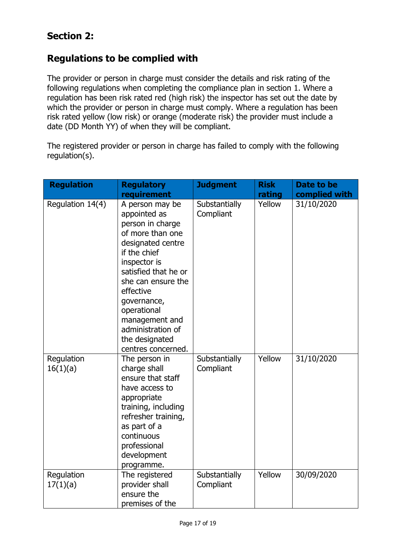## **Section 2:**

#### **Regulations to be complied with**

The provider or person in charge must consider the details and risk rating of the following regulations when completing the compliance plan in section 1. Where a regulation has been risk rated red (high risk) the inspector has set out the date by which the provider or person in charge must comply. Where a regulation has been risk rated yellow (low risk) or orange (moderate risk) the provider must include a date (DD Month YY) of when they will be compliant.

The registered provider or person in charge has failed to comply with the following regulation(s).

| <b>Regulation</b>      | <b>Regulatory</b><br>requirement                                                                                                                                                                                                                                                                     | <b>Judgment</b>            | <b>Risk</b><br>rating | Date to be<br>complied with |
|------------------------|------------------------------------------------------------------------------------------------------------------------------------------------------------------------------------------------------------------------------------------------------------------------------------------------------|----------------------------|-----------------------|-----------------------------|
| Regulation 14(4)       | A person may be<br>appointed as<br>person in charge<br>of more than one<br>designated centre<br>if the chief<br>inspector is<br>satisfied that he or<br>she can ensure the<br>effective<br>governance,<br>operational<br>management and<br>administration of<br>the designated<br>centres concerned. | Substantially<br>Compliant | Yellow                | 31/10/2020                  |
| Regulation<br>16(1)(a) | The person in<br>charge shall<br>ensure that staff<br>have access to<br>appropriate<br>training, including<br>refresher training,<br>as part of a<br>continuous<br>professional<br>development<br>programme.                                                                                         | Substantially<br>Compliant | Yellow                | 31/10/2020                  |
| Regulation<br>17(1)(a) | The registered<br>provider shall<br>ensure the<br>premises of the                                                                                                                                                                                                                                    | Substantially<br>Compliant | Yellow                | 30/09/2020                  |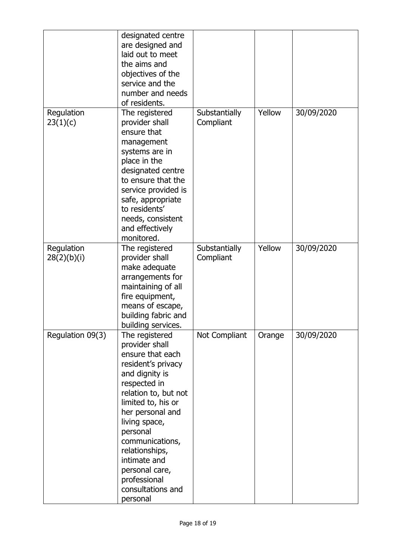|                           | designated centre<br>are designed and<br>laid out to meet<br>the aims and<br>objectives of the<br>service and the<br>number and needs<br>of residents.                                                                                                                                                                              |                            |        |            |
|---------------------------|-------------------------------------------------------------------------------------------------------------------------------------------------------------------------------------------------------------------------------------------------------------------------------------------------------------------------------------|----------------------------|--------|------------|
| Regulation<br>23(1)(c)    | The registered<br>provider shall<br>ensure that<br>management<br>systems are in<br>place in the<br>designated centre<br>to ensure that the<br>service provided is<br>safe, appropriate<br>to residents'<br>needs, consistent<br>and effectively<br>monitored.                                                                       | Substantially<br>Compliant | Yellow | 30/09/2020 |
| Regulation<br>28(2)(b)(i) | The registered<br>provider shall<br>make adequate<br>arrangements for<br>maintaining of all<br>fire equipment,<br>means of escape,<br>building fabric and<br>building services.                                                                                                                                                     | Substantially<br>Compliant | Yellow | 30/09/2020 |
| Regulation 09(3)          | The registered<br>provider shall<br>ensure that each<br>resident's privacy<br>and dignity is<br>respected in<br>relation to, but not<br>limited to, his or<br>her personal and<br>living space,<br>personal<br>communications,<br>relationships,<br>intimate and<br>personal care,<br>professional<br>consultations and<br>personal | Not Compliant              | Orange | 30/09/2020 |